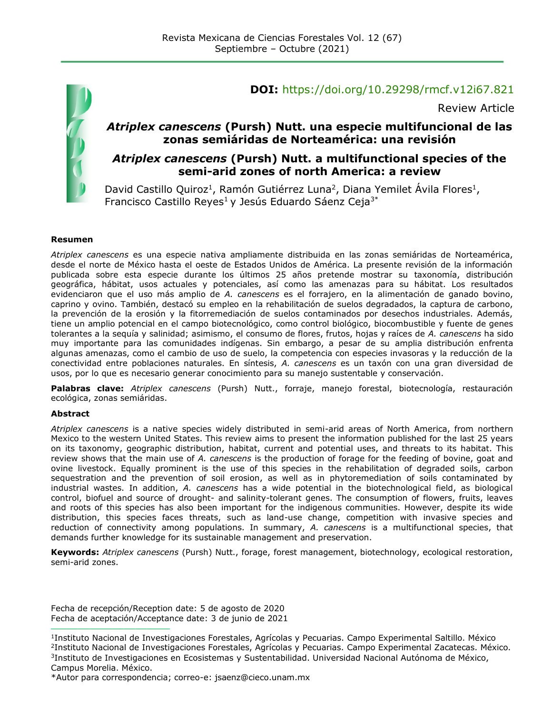

#### **DOI:** <https://doi.org/10.29298/rmcf.v12i67.821>

Review Article

#### *Atriplex canescens* **(Pursh) Nutt. una especie multifuncional de las zonas semiáridas de Norteamérica: una revisión**

#### *Atriplex canescens* **(Pursh) Nutt. a multifunctional species of the semi-arid zones of north America: a review**

David Castillo Quiroz<sup>1</sup>, Ramón Gutiérrez Luna<sup>2</sup>, Diana Yemilet Ávila Flores<sup>1</sup>, Francisco Castillo Reyes<sup>1</sup> y Jesús Eduardo Sáenz Ceja<sup>3\*</sup>

#### **Resumen**

*Atriplex canescens* es una especie nativa ampliamente distribuida en las zonas semiáridas de Norteamérica, desde el norte de México hasta el oeste de Estados Unidos de América. La presente revisión de la información publicada sobre esta especie durante los últimos 25 años pretende mostrar su taxonomía, distribución geográfica, hábitat, usos actuales y potenciales, así como las amenazas para su hábitat. Los resultados evidenciaron que el uso más amplio de *A. canescens* es el forrajero, en la alimentación de ganado bovino, caprino y ovino. También, destacó su empleo en la rehabilitación de suelos degradados, la captura de carbono, la prevención de la erosión y la fitorremediación de suelos contaminados por desechos industriales. Además, tiene un amplio potencial en el campo biotecnológico, como control biológico, biocombustible y fuente de genes tolerantes a la sequía y salinidad; asimismo, el consumo de flores, frutos, hojas y raíces de *A. canescens* ha sido muy importante para las comunidades indígenas. Sin embargo, a pesar de su amplia distribución enfrenta algunas amenazas, como el cambio de uso de suelo, la competencia con especies invasoras y la reducción de la conectividad entre poblaciones naturales. En síntesis, *A. canescens* es un taxón con una gran diversidad de usos, por lo que es necesario generar conocimiento para su manejo sustentable y conservación.

**Palabras clave:** *Atriplex canescens* (Pursh) Nutt., forraje, manejo forestal, biotecnología, restauración ecológica, zonas semiáridas.

#### **Abstract**

*Atriplex canescens* is a native species widely distributed in semi-arid areas of North America, from northern Mexico to the western United States. This review aims to present the information published for the last 25 years on its taxonomy, geographic distribution, habitat, current and potential uses, and threats to its habitat. This review shows that the main use of *A. canescens* is the production of forage for the feeding of bovine, goat and ovine livestock. Equally prominent is the use of this species in the rehabilitation of degraded soils, carbon sequestration and the prevention of soil erosion, as well as in phytoremediation of soils contaminated by industrial wastes. In addition, *A. canescens* has a wide potential in the biotechnological field, as biological control, biofuel and source of drought- and salinity-tolerant genes. The consumption of flowers, fruits, leaves and roots of this species has also been important for the indigenous communities. However, despite its wide distribution, this species faces threats, such as land-use change, competition with invasive species and reduction of connectivity among populations. In summary, *A. canescens* is a multifunctional species, that demands further knowledge for its sustainable management and preservation.

**Keywords:** *Atriplex canescens* (Pursh) Nutt., forage, forest management, biotechnology, ecological restoration, semi-arid zones.

Fecha de recepción/Reception date: 5 de agosto de 2020 Fecha de aceptación/Acceptance date: 3 de junio de 2021

**\_\_\_\_\_\_\_\_\_\_\_\_\_\_\_\_\_\_\_\_\_\_\_\_\_\_\_\_\_\_\_**

<sup>1</sup> Instituto Nacional de Investigaciones Forestales, Agrícolas y Pecuarias. Campo Experimental Saltillo. México 2 Instituto Nacional de Investigaciones Forestales, Agrícolas y Pecuarias. Campo Experimental Zacatecas. México. 3 Instituto de Investigaciones en Ecosistemas y Sustentabilidad. Universidad Nacional Autónoma de México, Campus Morelia. México.

<sup>\*</sup>Autor para correspondencia; correo-e: jsaenz@cieco.unam.mx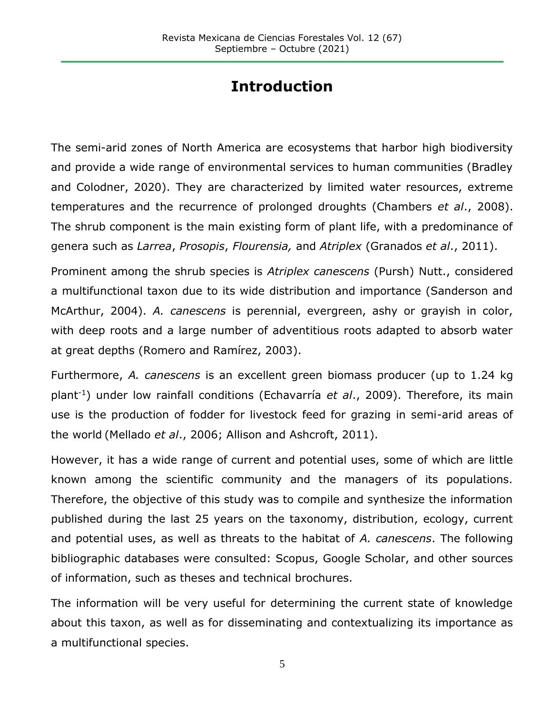# **Introduction**

The semi-arid zones of North America are ecosystems that harbor high biodiversity and provide a wide range of environmental services to human communities (Bradley and Colodner, 2020). They are characterized by limited water resources, extreme temperatures and the recurrence of prolonged droughts (Chambers *et al*., 2008). The shrub component is the main existing form of plant life, with a predominance of genera such as *Larrea*, *Prosopis*, *Flourensia,* and *Atriplex* (Granados *et al*., 2011).

Prominent among the shrub species is *Atriplex canescens* (Pursh) Nutt., considered a multifunctional taxon due to its wide distribution and importance (Sanderson and McArthur, 2004). *A. canescens* is perennial, evergreen, ashy or grayish in color, with deep roots and a large number of adventitious roots adapted to absorb water at great depths (Romero and Ramírez, 2003).

Furthermore, *A. canescens* is an excellent green biomass producer (up to 1.24 kg plant-1) under low rainfall conditions (Echavarría *et al*., 2009). Therefore, its main use is the production of fodder for livestock feed for grazing in semi-arid areas of the world (Mellado *et al*., 2006; Allison and Ashcroft, 2011).

However, it has a wide range of current and potential uses, some of which are little known among the scientific community and the managers of its populations. Therefore, the objective of this study was to compile and synthesize the information published during the last 25 years on the taxonomy, distribution, ecology, current and potential uses, as well as threats to the habitat of *A. canescens*. The following bibliographic databases were consulted: Scopus, Google Scholar, and other sources of information, such as theses and technical brochures.

The information will be very useful for determining the current state of knowledge about this taxon, as well as for disseminating and contextualizing its importance as a multifunctional species.

5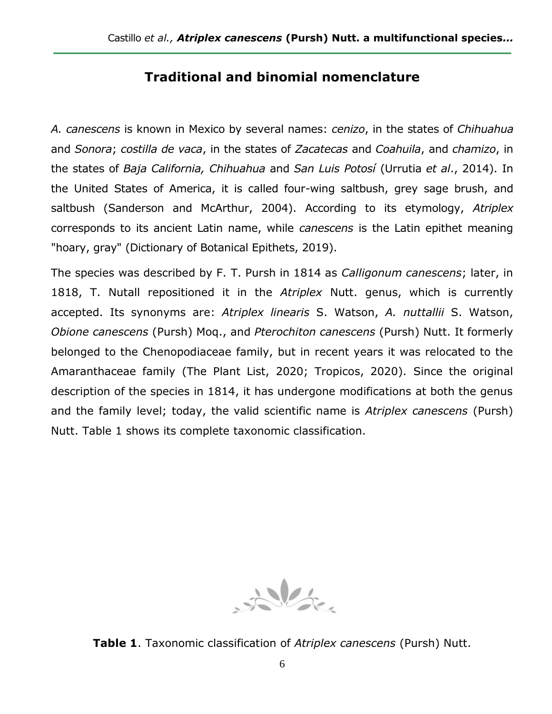# **Traditional and binomial nomenclature**

*A. canescens* is known in Mexico by several names: *cenizo*, in the states of *Chihuahua* and *Sonora*; *costilla de vaca*, in the states of *Zacatecas* and *Coahuila*, and *chamizo*, in the states of *Baja California, Chihuahua* and *San Luis Potosí* (Urrutia *et al*., 2014). In the United States of America, it is called four-wing saltbush, grey sage brush, and saltbush (Sanderson and McArthur, 2004). According to its etymology, *Atriplex* corresponds to its ancient Latin name, while *canescens* is the Latin epithet meaning "hoary, gray" (Dictionary of Botanical Epithets, 2019).

The species was described by F. T. Pursh in 1814 as *Calligonum canescens*; later, in 1818, T. Nutall repositioned it in the *Atriplex* Nutt. genus, which is currently accepted. Its synonyms are: *Atriplex linearis* S. Watson, *A. nuttallii* S. Watson, *Obione canescens* (Pursh) Moq., and *Pterochiton canescens* (Pursh) Nutt. It formerly belonged to the Chenopodiaceae family, but in recent years it was relocated to the Amaranthaceae family (The Plant List, 2020; Tropicos, 2020). Since the original description of the species in 1814, it has undergone modifications at both the genus and the family level; today, the valid scientific name is *Atriplex canescens* (Pursh) Nutt. Table 1 shows its complete taxonomic classification.



**Table 1**. Taxonomic classification of *Atriplex canescens* (Pursh) Nutt.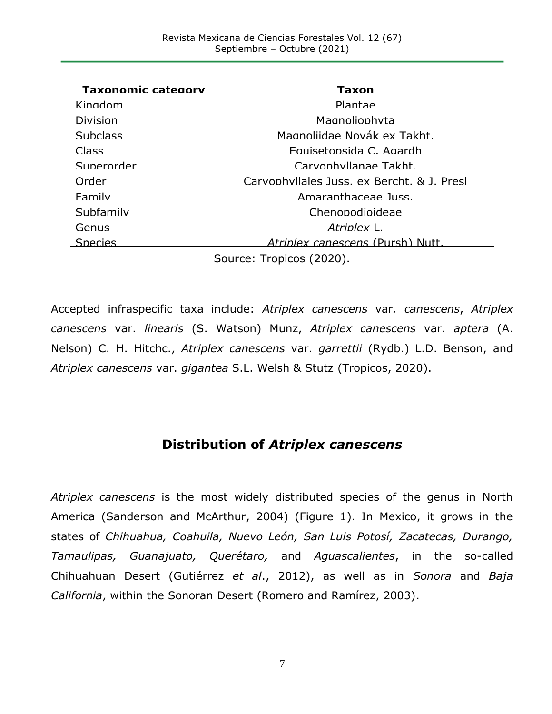| <b>Taxonomic category</b> | Taxon                                      |
|---------------------------|--------------------------------------------|
| Kingdom                   | Plantae                                    |
| Division                  | Magnoliophyta                              |
| <b>Subclass</b>           | Magnoliidae Novák ex Takht.                |
| Class                     | Fauisetonsida C. Agardh                    |
| Superorder                | Carvonhyllanae Takht.                      |
| Order                     | Carvonhyllales Juss, ex Bercht, & J. Presl |
| Family                    | Amaranthaceae Juss.                        |
| Subfamily                 | Chenonodioideae                            |
| Genus                     | Atrinlex L                                 |
| Species                   | <i>Atrinlex canescens (Pursh) Nutt.</i>    |
| Source: Tropicos (2020).  |                                            |

Accepted infraspecific taxa include: *[Atriplex canescens](https://es.wikipedia.org/w/index.php?title=Atriplex_canescens_var._canescens&action=edit&redlink=1)* var*. canescens*, *[Atriplex](https://es.wikipedia.org/w/index.php?title=Atriplex_canescens_var._linearis&action=edit&redlink=1)  [canescens](https://es.wikipedia.org/w/index.php?title=Atriplex_canescens_var._linearis&action=edit&redlink=1)* var. *linearis* [\(S. Watson\)](https://es.wikipedia.org/wiki/S.Watson) [Munz,](https://es.wikipedia.org/wiki/Munz) *Atriplex canescens* var. *aptera* (A. Nelson) C. H. Hitchc., *Atriplex canescens* var. *garrettii* (Rydb.) L.D. Benson, and *[Atriplex canescens](https://es.wikipedia.org/w/index.php?title=Atriplex_canescens_subsp._macropoda&action=edit&redlink=1)* var. *gigantea* S.L. Welsh & Stutz (Tropicos, 2020).

## **Distribution of** *Atriplex canescens*

*Atriplex canescens* is the most widely distributed species of the genus in North America (Sanderson and McArthur, 2004) (Figure 1). In Mexico, it grows in the states of *Chihuahua, Coahuila, Nuevo León, San Luis Potosí, Zacatecas, Durango, Tamaulipas, Guanajuato, Querétaro,* and *Aguascalientes*, in the so-called Chihuahuan Desert (Gutiérrez *et al*., 2012), as well as in *Sonora* and *Baja California*, within the Sonoran Desert (Romero and Ramírez, 2003).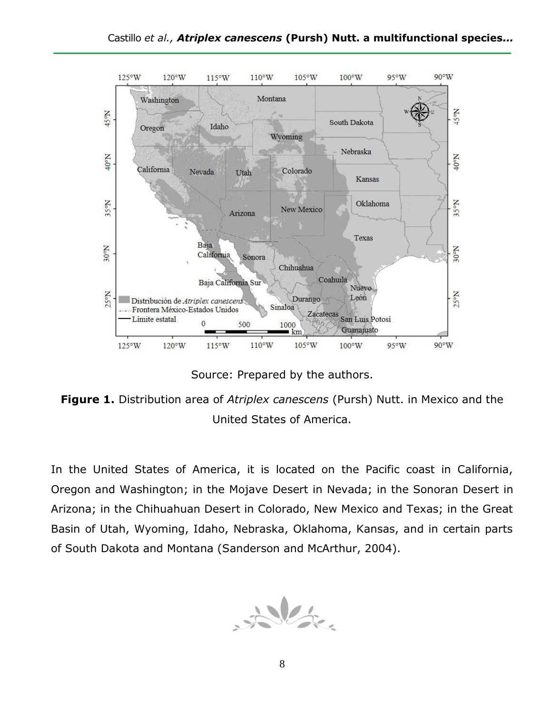

Source: Prepared by the authors.

**Figure 1.** Distribution area of *Atriplex canescens* (Pursh) Nutt. in Mexico and the United States of America.

In the United States of America, it is located on the Pacific coast in California, Oregon and Washington; in the Mojave Desert in Nevada; in the Sonoran Desert in Arizona; in the Chihuahuan Desert in Colorado, New Mexico and Texas; in the Great Basin of Utah, Wyoming, Idaho, Nebraska, Oklahoma, Kansas, and in certain parts of South Dakota and Montana (Sanderson and McArthur, 2004).

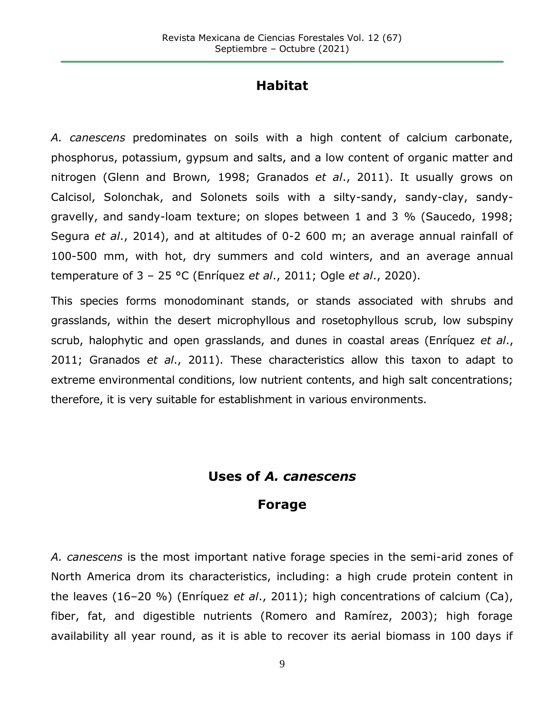### **Habitat**

*A. canescens* predominates on soils with a high content of calcium carbonate, phosphorus, potassium, gypsum and salts, and a low content of organic matter and nitrogen (Glenn and Brown*,* 1998; Granados *et al*., 2011). It usually grows on Calcisol, Solonchak, and Solonets soils with a silty-sandy, sandy-clay, sandygravelly, and sandy-loam texture; on slopes between 1 and 3 % (Saucedo, 1998; Segura *et al*., 2014), and at altitudes of 0-2 600 m; an average annual rainfall of 100-500 mm, with hot, dry summers and cold winters, and an average annual temperature of 3 – 25 °C (Enríquez *et al*., 2011; Ogle *et al*., 2020).

This species forms monodominant stands, or stands associated with shrubs and grasslands, within the desert microphyllous and rosetophyllous scrub, low subspiny scrub, halophytic and open grasslands, and dunes in coastal areas (Enríquez *et al*., 2011; Granados *et al*., 2011). These characteristics allow this taxon to adapt to extreme environmental conditions, low nutrient contents, and high salt concentrations; therefore, it is very suitable for establishment in various environments.

#### **Uses of** *A. canescens*

#### **Forage**

*A. canescens* is the most important native forage species in the semi-arid zones of North America drom its characteristics, including: a high crude protein content in the leaves (16–20 %) (Enríquez *et al*., 2011); high concentrations of calcium (Ca), fiber, fat, and digestible nutrients (Romero and Ramírez, 2003); high forage availability all year round, as it is able to recover its aerial biomass in 100 days if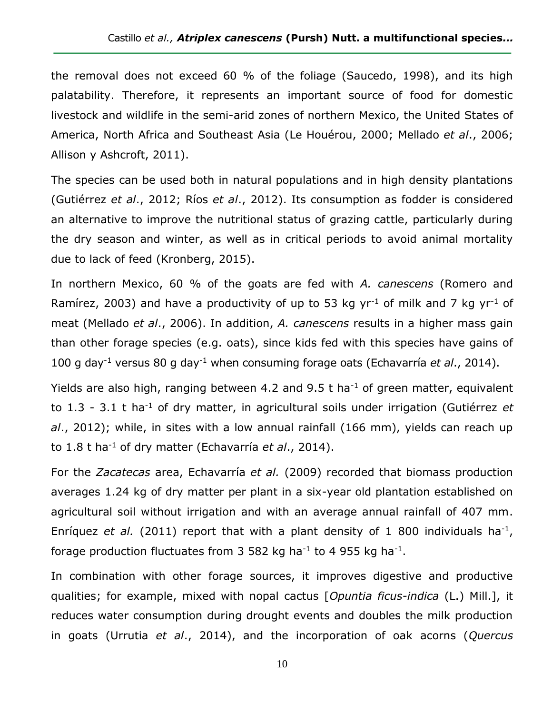the removal does not exceed 60 % of the foliage (Saucedo, 1998), and its high palatability. Therefore, it represents an important source of food for domestic livestock and wildlife in the semi-arid zones of northern Mexico, the United States of America, North Africa and Southeast Asia (Le Houérou, 2000; Mellado *et al*., 2006; Allison y Ashcroft, 2011).

The species can be used both in natural populations and in high density plantations (Gutiérrez *et al*., 2012; Ríos *et al*., 2012). Its consumption as fodder is considered an alternative to improve the nutritional status of grazing cattle, particularly during the dry season and winter, as well as in critical periods to avoid animal mortality due to lack of feed (Kronberg, 2015).

In northern Mexico, 60 % of the goats are fed with *A. canescens* (Romero and Ramírez, 2003) and have a productivity of up to 53 kg  $yr^{-1}$  of milk and 7 kg  $yr^{-1}$  of meat (Mellado *et al*., 2006). In addition, *A. canescens* results in a higher mass gain than other forage species (e.g. oats), since kids fed with this species have gains of 100 g day-1 versus 80 g day-1 when consuming forage oats (Echavarría *et al*., 2014).

Yields are also high, ranging between 4.2 and 9.5  $t$  ha<sup>-1</sup> of green matter, equivalent to 1.3 - 3.1 t ha-1 of dry matter, in agricultural soils under irrigation (Gutiérrez *et al*., 2012); while, in sites with a low annual rainfall (166 mm), yields can reach up to 1.8 t ha-1 of dry matter (Echavarría *et al*., 2014).

For the *Zacatecas* area, Echavarría *et al.* (2009) recorded that biomass production averages 1.24 kg of dry matter per plant in a six-year old plantation established on agricultural soil without irrigation and with an average annual rainfall of 407 mm. Enríquez *et al.* (2011) report that with a plant density of 1 800 individuals ha<sup>-1</sup>, forage production fluctuates from 3 582 kg ha<sup>-1</sup> to 4 955 kg ha<sup>-1</sup>.

In combination with other forage sources, it improves digestive and productive qualities; for example, mixed with nopal cactus [*Opuntia ficus-indica* [\(L.\)](https://es.wikipedia.org/wiki/Carlos_Linneo) [Mill.\]](https://es.wikipedia.org/wiki/Philip_Miller), it reduces water consumption during drought events and doubles the milk production in goats (Urrutia *et al*., 2014), and the incorporation of oak acorns (*Quercus*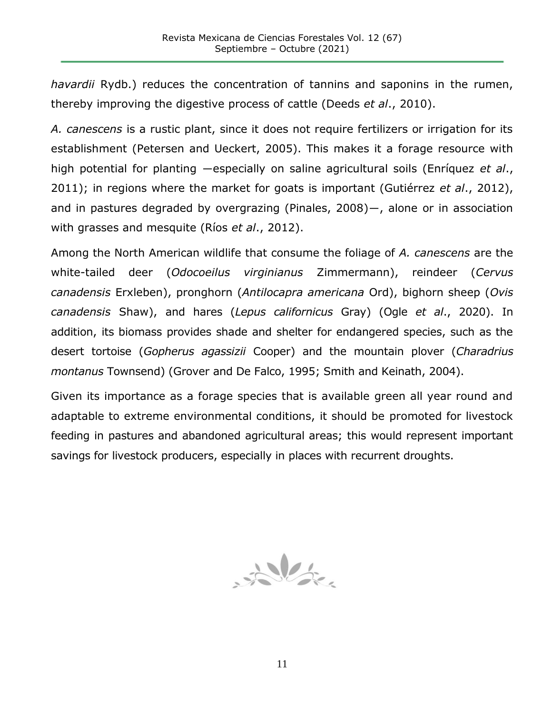*havardii* Rydb.) reduces the concentration of tannins and saponins in the rumen, thereby improving the digestive process of cattle (Deeds *et al*., 2010).

*A. canescens* is a rustic plant, since it does not require fertilizers or irrigation for its establishment (Petersen and Ueckert, 2005). This makes it a forage resource with high potential for planting ―especially on saline agricultural soils (Enríquez *et al*., 2011); in regions where the market for goats is important (Gutiérrez *et al*., 2012), and in pastures degraded by overgrazing (Pinales, 2008)―, alone or in association with grasses and mesquite (Ríos *et al*., 2012).

Among the North American wildlife that consume the foliage of *A. canescens* are the white-tailed deer (*Odocoeilus virginianus* Zimmermann), reindeer (*Cervus canadensis* Erxleben), pronghorn (*Antilocapra americana* Ord), bighorn sheep (*Ovis canadensis* Shaw), and hares (*Lepus californicus* Gray) (Ogle *et al*., 2020). In addition, its biomass provides shade and shelter for endangered species, such as the desert tortoise (*Gopherus agassizii* Cooper) and the mountain plover (*Charadrius montanus* Townsend) (Grover and De Falco, 1995; Smith and Keinath, 2004).

Given its importance as a forage species that is available green all year round and adaptable to extreme environmental conditions, it should be promoted for livestock feeding in pastures and abandoned agricultural areas; this would represent important savings for livestock producers, especially in places with recurrent droughts.

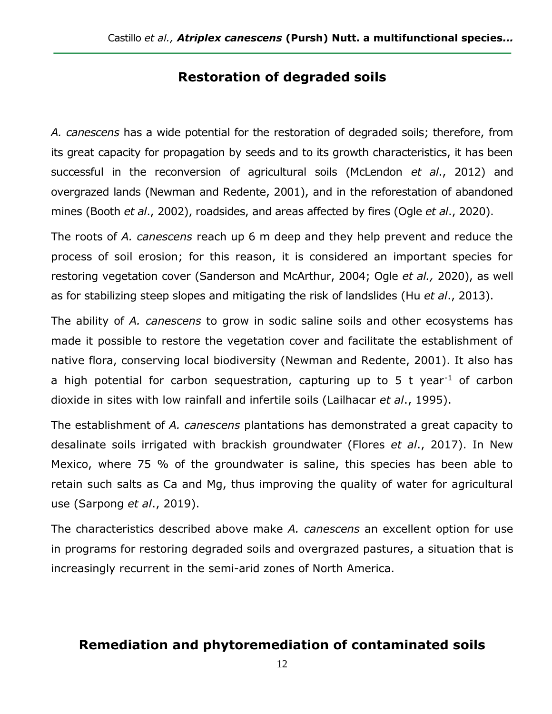#### **Restoration of degraded soils**

*A. canescens* has a wide potential for the restoration of degraded soils; therefore, from its great capacity for propagation by seeds and to its growth characteristics, it has been successful in the reconversion of agricultural soils (McLendon *et al*., 2012) and overgrazed lands (Newman and Redente, 2001), and in the reforestation of abandoned mines (Booth *et al*., 2002), roadsides, and areas affected by fires (Ogle *et al*., 2020).

The roots of *A. canescens* reach up 6 m deep and they help prevent and reduce the process of soil erosion; for this reason, it is considered an important species for restoring vegetation cover (Sanderson and McArthur, 2004; Ogle *et al.,* 2020), as well as for stabilizing steep slopes and mitigating the risk of landslides (Hu *et al*., 2013).

The ability of *A. canescens* to grow in sodic saline soils and other ecosystems has made it possible to restore the vegetation cover and facilitate the establishment of native flora, conserving local biodiversity (Newman and Redente, 2001). It also has a high potential for carbon sequestration, capturing up to  $5$  t year<sup>-1</sup> of carbon dioxide in sites with low rainfall and infertile soils (Lailhacar *et al*., 1995).

The establishment of *A. canescens* plantations has demonstrated a great capacity to desalinate soils irrigated with brackish groundwater (Flores *et al*., 2017). In New Mexico, where 75 % of the groundwater is saline, this species has been able to retain such salts as Ca and Mg, thus improving the quality of water for agricultural use (Sarpong *et al*., 2019).

The characteristics described above make *A. canescens* an excellent option for use in programs for restoring degraded soils and overgrazed pastures, a situation that is increasingly recurrent in the semi-arid zones of North America.

#### **Remediation and phytoremediation of contaminated soils**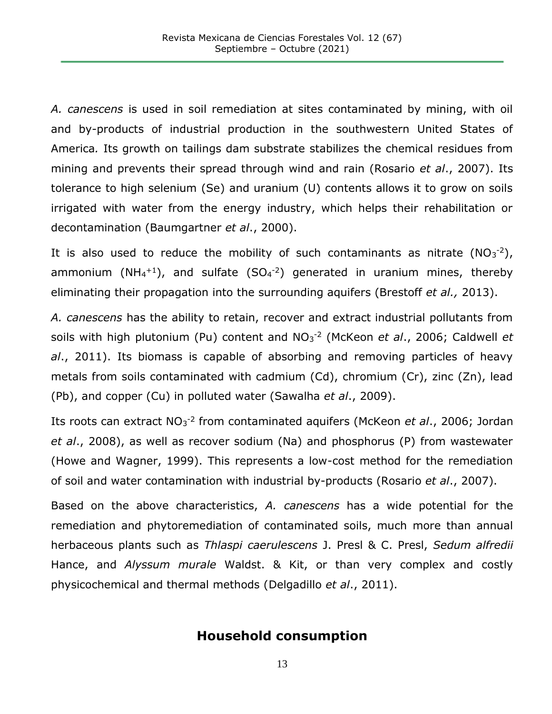*A. canescens* is used in soil remediation at sites contaminated by mining, with oil and by-products of industrial production in the southwestern United States of America*.* Its growth on tailings dam substrate stabilizes the chemical residues from mining and prevents their spread through wind and rain (Rosario *et al*., 2007). Its tolerance to high selenium (Se) and uranium (U) contents allows it to grow on soils irrigated with water from the energy industry, which helps their rehabilitation or decontamination (Baumgartner *et al*., 2000).

It is also used to reduce the mobility of such contaminants as nitrate  $(NO<sub>3</sub><sup>-2</sup>)$ , ammonium (NH<sub>4</sub><sup>+1</sup>), and sulfate (SO<sub>4</sub><sup>-2</sup>) generated in uranium mines, thereby eliminating their propagation into the surrounding aquifers (Brestoff *et al.,* 2013).

*A. canescens* has the ability to retain, recover and extract industrial pollutants from soils with high plutonium (Pu) content and NO<sub>3</sub><sup>-2</sup> (McKeon *et al.*, 2006; Caldwell *et al*., 2011). Its biomass is capable of absorbing and removing particles of heavy metals from soils contaminated with cadmium (Cd), chromium (Cr), zinc (Zn), lead (Pb), and copper (Cu) in polluted water (Sawalha *et al*., 2009).

Its roots can extract NO<sub>3</sub><sup>-2</sup> from contaminated aquifers (McKeon *et al.*, 2006; Jordan *et al*., 2008), as well as recover sodium (Na) and phosphorus (P) from wastewater (Howe and Wagner, 1999). This represents a low-cost method for the remediation of soil and water contamination with industrial by-products (Rosario *et al*., 2007).

Based on the above characteristics, *A. canescens* has a wide potential for the remediation and phytoremediation of contaminated soils, much more than annual herbaceous plants such as *Thlaspi caerulescens* J. Presl & C. Presl, *Sedum alfredii* Hance, and *Alyssum murale* Waldst. & Kit, or than very complex and costly physicochemical and thermal methods (Delgadillo *et al*., 2011).

#### **Household consumption**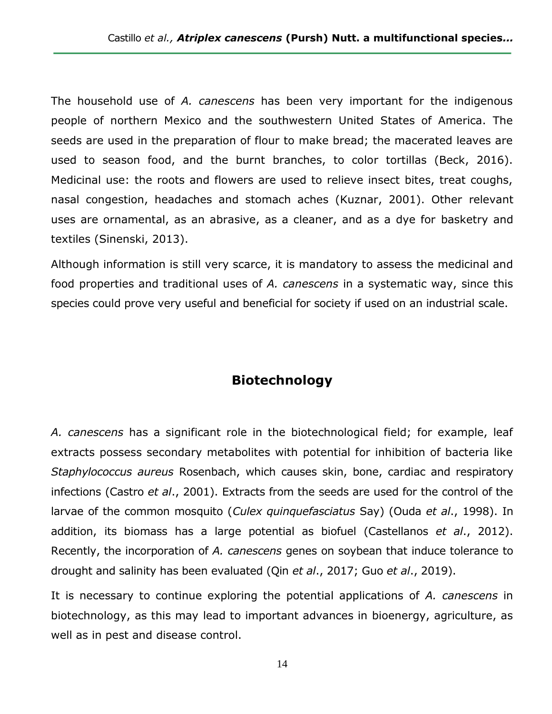The household use of *A. canescens* has been very important for the indigenous people of northern Mexico and the southwestern United States of America. The seeds are used in the preparation of flour to make bread; the macerated leaves are used to season food, and the burnt branches, to color tortillas (Beck, 2016). Medicinal use: the roots and flowers are used to relieve insect bites, treat coughs, nasal congestion, headaches and stomach aches (Kuznar, 2001). Other relevant uses are ornamental, as an abrasive, as a cleaner, and as a dye for basketry and textiles (Sinenski, 2013).

Although information is still very scarce, it is mandatory to assess the medicinal and food properties and traditional uses of *A. canescens* in a systematic way, since this species could prove very useful and beneficial for society if used on an industrial scale.

### **Biotechnology**

*A. canescens* has a significant role in the biotechnological field; for example, leaf extracts possess secondary metabolites with potential for inhibition of bacteria like *Staphylococcus aureus* Rosenbach, which causes skin, bone, cardiac and respiratory infections (Castro *et al*., 2001). Extracts from the seeds are used for the control of the larvae of the common mosquito (*Culex quinquefasciatus* Say) (Ouda *et al*., 1998). In addition, its biomass has a large potential as biofuel (Castellanos *et al*., 2012). Recently, the incorporation of *A. canescens* genes on soybean that induce tolerance to drought and salinity has been evaluated (Qin *et al*., 2017; Guo *et al*., 2019).

It is necessary to continue exploring the potential applications of *A. canescens* in biotechnology, as this may lead to important advances in bioenergy, agriculture, as well as in pest and disease control.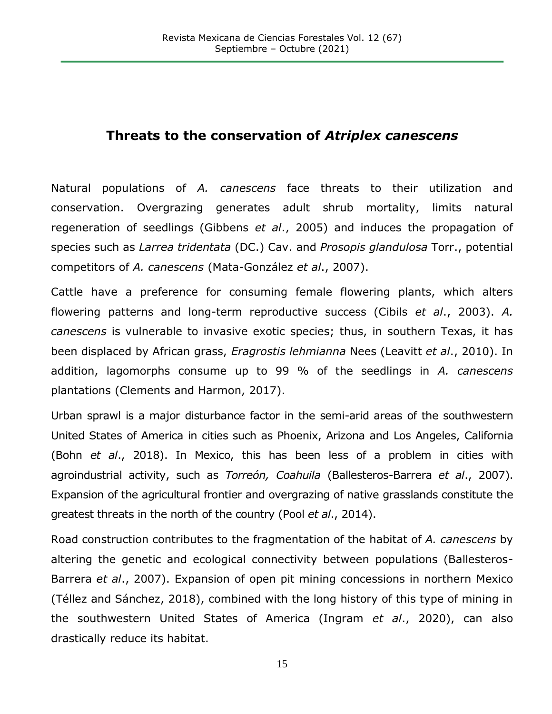## **Threats to the conservation of** *Atriplex canescens*

Natural populations of *A. canescens* face threats to their utilization and conservation. Overgrazing generates adult shrub mortality, limits natural regeneration of seedlings (Gibbens *et al*., 2005) and induces the propagation of species such as *Larrea tridentata* (DC.) Cav. and *Prosopis glandulosa* Torr., potential competitors of *A. canescens* (Mata-González *et al*., 2007).

Cattle have a preference for consuming female flowering plants, which alters flowering patterns and long-term reproductive success (Cibils *et al*., 2003). *A. canescens* is vulnerable to invasive exotic species; thus, in southern Texas, it has been displaced by African grass, *Eragrostis lehmianna* Nees (Leavitt *et al*., 2010). In addition, lagomorphs consume up to 99 % of the seedlings in *A. canescens* plantations (Clements and Harmon, 2017).

Urban sprawl is a major disturbance factor in the semi-arid areas of the southwestern United States of America in cities such as Phoenix, Arizona and Los Angeles, California (Bohn *et al*., 2018). In Mexico, this has been less of a problem in cities with agroindustrial activity, such as *Torreón, Coahuila* (Ballesteros-Barrera *et al*., 2007). Expansion of the agricultural frontier and overgrazing of native grasslands constitute the greatest threats in the north of the country (Pool *et al*., 2014).

Road construction contributes to the fragmentation of the habitat of *A. canescens* by altering the genetic and ecological connectivity between populations (Ballesteros-Barrera *et al*., 2007). Expansion of open pit mining concessions in northern Mexico (Téllez and Sánchez, 2018), combined with the long history of this type of mining in the southwestern United States of America (Ingram *et al*., 2020), can also drastically reduce its habitat.

15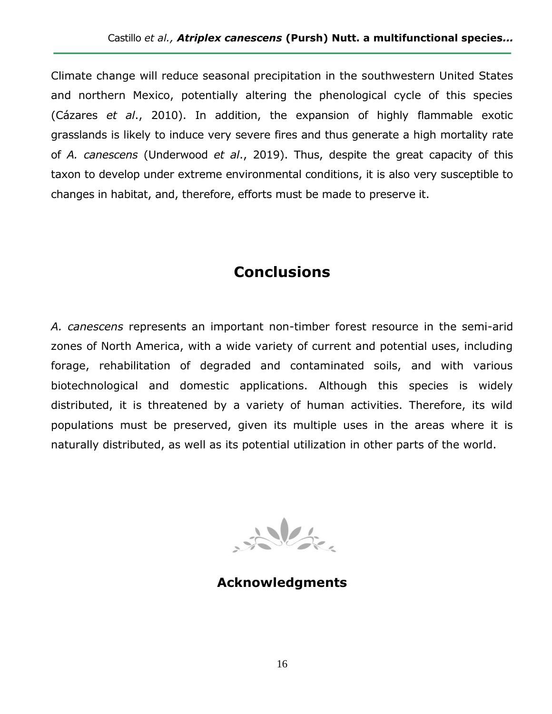Climate change will reduce seasonal precipitation in the southwestern United States and northern Mexico, potentially altering the phenological cycle of this species (Cázares *et al*., 2010). In addition, the expansion of highly flammable exotic grasslands is likely to induce very severe fires and thus generate a high mortality rate of *A. canescens* (Underwood *et al*., 2019). Thus, despite the great capacity of this taxon to develop under extreme environmental conditions, it is also very susceptible to changes in habitat, and, therefore, efforts must be made to preserve it.

# **Conclusions**

*A. canescens* represents an important non-timber forest resource in the semi-arid zones of North America, with a wide variety of current and potential uses, including forage, rehabilitation of degraded and contaminated soils, and with various biotechnological and domestic applications. Although this species is widely distributed, it is threatened by a variety of human activities. Therefore, its wild populations must be preserved, given its multiple uses in the areas where it is naturally distributed, as well as its potential utilization in other parts of the world.

 $\frac{1}{2}$ 

**Acknowledgments**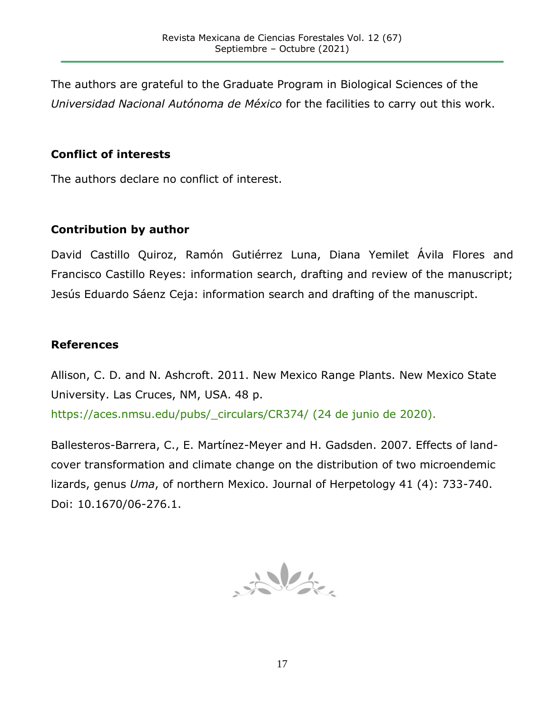The authors are grateful to the Graduate Program in Biological Sciences of the *Universidad Nacional Autónoma de México* for the facilities to carry out this work.

#### **Conflict of interests**

The authors declare no conflict of interest.

#### **Contribution by author**

David Castillo Quiroz, Ramón Gutiérrez Luna, Diana Yemilet Ávila Flores and Francisco Castillo Reyes: information search, drafting and review of the manuscript; Jesús Eduardo Sáenz Ceja: information search and drafting of the manuscript.

#### **References**

Allison, C. D. and N. Ashcroft. 2011. New Mexico Range Plants. New Mexico State University. Las Cruces, NM, USA. 48 p.

[https://aces.nmsu.edu/pubs/\\_circulars/CR374/](https://aces.nmsu.edu/pubs/_circulars/CR374/) (24 de junio de 2020).

Ballesteros-Barrera, C., E. Martínez-Meyer and H. Gadsden. 2007. Effects of landcover transformation and climate change on the distribution of two microendemic lizards, genus *Uma*, of northern Mexico. Journal of Herpetology 41 (4): 733-740. Doi: [10.1670/06-276.1.](https://doi.org/10.1670/06-276.1)

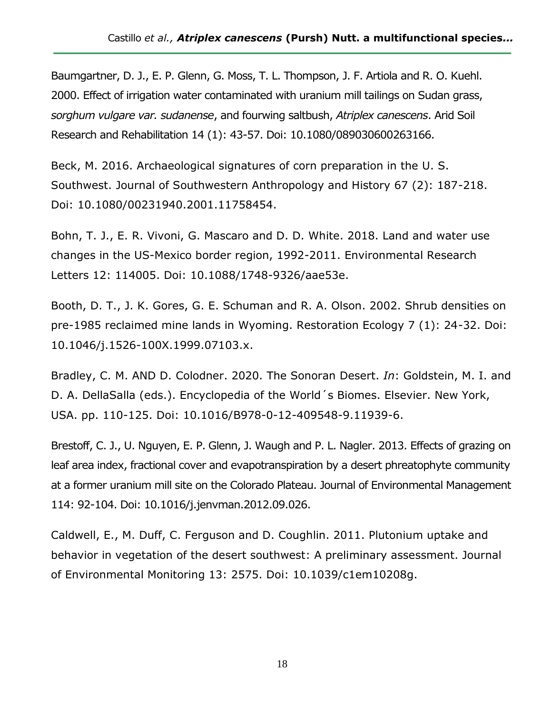Baumgartner, D. J., E. P. Glenn, G. Moss, T. L. Thompson, J. F. Artiola and R. O. Kuehl. 2000. Effect of irrigation water contaminated with uranium mill tailings on Sudan grass, *sorghum vulgare var. sudanense*, and fourwing saltbush, *Atriplex canescens*. Arid Soil Research and Rehabilitation 14 (1): 43-57. Doi: 10.1080/089030600263166.

Beck, M. 2016. Archaeological signatures of corn preparation in the U. S. Southwest. Journal of Southwestern Anthropology and History 67 (2): 187-218. Doi: [10.1080/00231940.2001.11758454.](https://doi.org/10.1080/00231940.2001.11758454)

Bohn, T. J., E. R. Vivoni, G. Mascaro and D. D. White. 2018. Land and water use changes in the US-Mexico border region, 1992-2011. Environmental Research Letters 12: 114005. Doi: 10.1088/1748-9326/aae53e.

Booth, D. T., J. K. Gores, G. E. Schuman and R. A. Olson. 2002. Shrub densities on pre-1985 reclaimed mine lands in Wyoming. Restoration Ecology 7 (1): 24-32. Doi: [10.1046/j.1526-100X.1999.07103.x.](https://doi.org/10.1046/j.1526-100X.1999.07103.x)

Bradley, C. M. AND D. Colodner. 2020. The Sonoran Desert. *In*: Goldstein, M. I. and D. A. DellaSalla (eds.). Encyclopedia of the World´s Biomes. Elsevier. New York, USA. pp. 110-125. Doi: [10.1016/B978-0-12-409548-9.11939-6.](https://doi.org/10.1016/B978-0-12-409548-9.11939-6)

Brestoff, C. J., U. Nguyen, E. P. Glenn, J. Waugh and P. L. Nagler. 2013. Effects of grazing on leaf area index, fractional cover and evapotranspiration by a desert phreatophyte community at a former uranium mill site on the Colorado Plateau. Journal of Environmental Management 114: 92-104. Doi: 10.1016/j.jenvman.2012.09.026.

Caldwell, E., M. Duff, C. Ferguson and D. Coughlin. 2011. Plutonium uptake and behavior in vegetation of the desert southwest: A preliminary assessment. Journal of Environmental Monitoring 13: 2575. Doi: 10.1039/c1em10208g.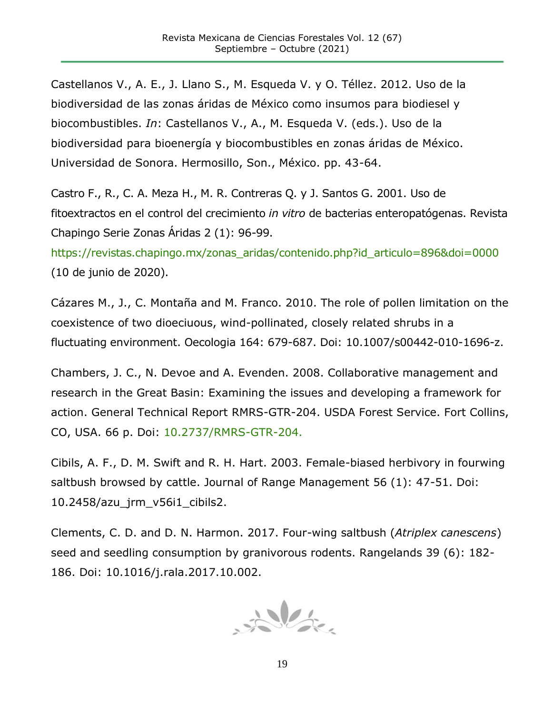Castellanos V., A. E., J. Llano S., M. Esqueda V. y O. Téllez. 2012. Uso de la biodiversidad de las zonas áridas de México como insumos para biodiesel y biocombustibles. *In*: Castellanos V., A., M. Esqueda V. (eds.). Uso de la biodiversidad para bioenergía y biocombustibles en zonas áridas de México. Universidad de Sonora. Hermosillo, Son., México. pp. 43-64.

Castro F., R., C. A. Meza H., M. R. Contreras Q. y J. Santos G. 2001. Uso de fitoextractos en el control del crecimiento *in vitro* de bacterias enteropatógenas. Revista Chapingo Serie Zonas Áridas 2 (1): 96-99.

[https://revistas.chapingo.mx/zonas\\_aridas/contenido.php?id\\_articulo=896&doi=0000](https://revistas.chapingo.mx/zonas_aridas/contenido.php?id_articulo=896&doi=0000) (10 de junio de 2020).

Cázares M., J., C. Montaña and M. Franco. 2010. The role of pollen limitation on the coexistence of two dioeciuous, wind-pollinated, closely related shrubs in a fluctuating environment. Oecologia 164: 679-687. Doi: 10.1007/s00442-010-1696-z.

Chambers, J. C., N. Devoe and A. Evenden. 2008. Collaborative management and research in the Great Basin: Examining the issues and developing a framework for action. General Technical Report RMRS-GTR-204. USDA Forest Service. Fort Collins, CO, USA. 66 p. Doi: [10.2737/RMRS-GTR-204.](https://doi.org/10.2737/RMRS-GTR-204)

Cibils, A. F., D. M. Swift and R. H. Hart. 2003. Female-biased herbivory in fourwing saltbush browsed by cattle. Journal of Range Management 56 (1): 47-51. Doi: 10.2458/azu\_jrm\_v56i1\_cibils2.

Clements, C. D. and D. N. Harmon. 2017. Four-wing saltbush (*Atriplex canescens*) seed and seedling consumption by granivorous rodents. Rangelands 39 (6): 182- 186. Doi: 10.1016/j.rala.2017.10.002.

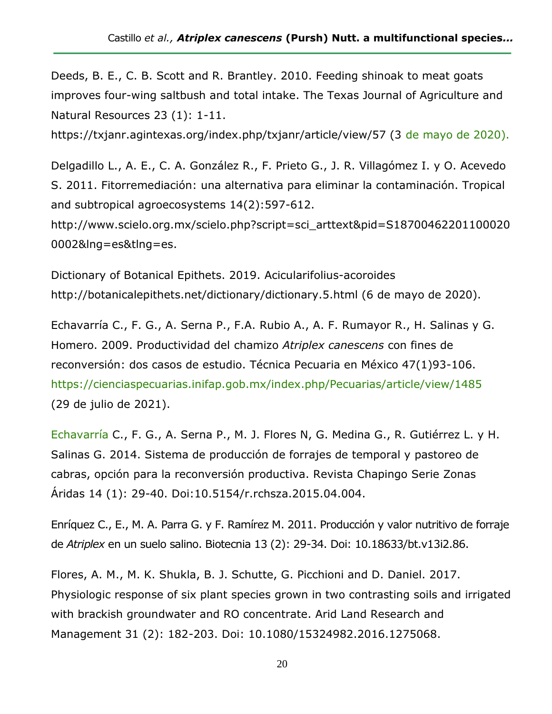Deeds, B. E., C. B. Scott and R. Brantley. 2010. Feeding shinoak to meat goats improves four-wing saltbush and total intake. The Texas Journal of Agriculture and Natural Resources 23 (1): 1-11.

https://txjanr.agintexas.org/index.php/txjanr/article/view/57 (3 de mayo de 2020).

Delgadillo L., A. E., C. A. González R., F. Prieto G., J. R. Villagómez I. y O. Acevedo S. 2011. Fitorremediación: una alternativa para eliminar la contaminación. Tropical and subtropical agroecosystems 14(2):597-612.

http://www.scielo.org.mx/scielo.php?script=sci\_arttext&pid=S18700462201100020 0002&lng=es&tlng=es.

Dictionary of Botanical Epithets. 2019. Acicularifolius-acoroides http://botanicalepithets.net/dictionary/dictionary.5.html (6 de mayo de 2020).

Echavarría C., F. G., A. Serna P., F.A. Rubio A., A. F. Rumayor R., H. Salinas y G. Homero. 2009. Productividad del chamizo *Atriplex canescens* con fines de reconversión: dos casos de estudio. Técnica Pecuaria en México 47(1)93-106. <https://cienciaspecuarias.inifap.gob.mx/index.php/Pecuarias/article/view/1485> (29 de julio de 2021).

Echavarría C., F. G., A. Serna P., M. J. Flores N, G. Medina G., R. Gutiérrez L. y H. Salinas G. 2014. Sistema de producción de forrajes de temporal y pastoreo de cabras, opción para la reconversión productiva. Revista Chapingo Serie Zonas Áridas 14 (1): 29-40. Doi:10.5154/r.rchsza.2015.04.004.

Enríquez C., E., M. A. Parra G. y F. Ramírez M. 2011. Producción y valor nutritivo de forraje de *Atriplex* en un suelo salino. Biotecnia 13 (2): 29-34. Doi: [10.18633/bt.v13i2.86.](https://doi.org/10.18633/bt.v13i2.86)

Flores, A. M., M. K. Shukla, B. J. Schutte, G. Picchioni and D. Daniel. 2017. Physiologic response of six plant species grown in two contrasting soils and irrigated with brackish groundwater and RO concentrate. Arid Land Research and Management 31 (2): 182-203. Doi: 10.1080/15324982.2016.1275068.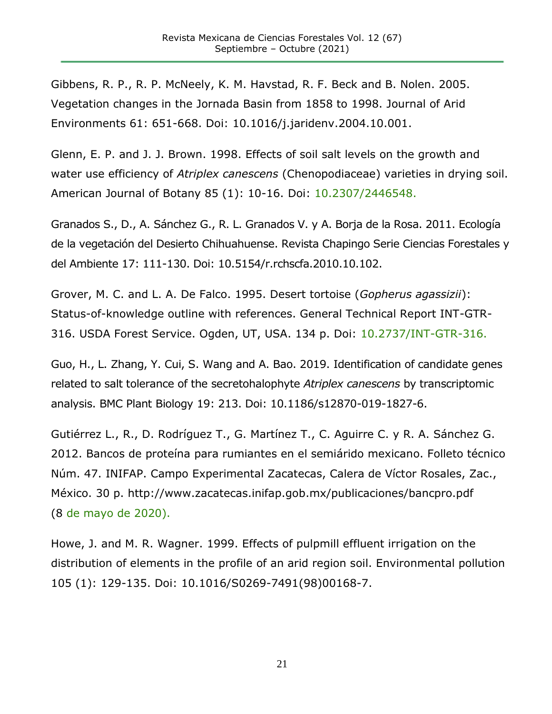Gibbens, R. P., R. P. McNeely, K. M. Havstad, R. F. Beck and B. Nolen. 2005. Vegetation changes in the Jornada Basin from 1858 to 1998. Journal of Arid Environments 61: 651-668. Doi: 10.1016/j.jaridenv.2004.10.001.

Glenn, E. P. and J. J. Brown. 1998. Effects of soil salt levels on the growth and water use efficiency of *Atriplex canescens* (Chenopodiaceae) varieties in drying soil. American Journal of Botany 85 (1): 10-16. Doi: [10.2307/2446548.](https://doi.org/10.2307/2446548)

Granados S., D., A. Sánchez G., R. L. Granados V. y A. Borja de la Rosa. 2011. Ecología de la vegetación del Desierto Chihuahuense. Revista Chapingo Serie Ciencias Forestales y del Ambiente 17: 111-130. Doi: 10.5154/r.rchscfa.2010.10.102.

Grover, M. C. and L. A. De Falco. 1995. Desert tortoise (*Gopherus agassizii*): Status-of-knowledge outline with references. General Technical Report INT-GTR-316. USDA Forest Service. Ogden, UT, USA. 134 p. Doi: [10.2737/INT-GTR-316.](https://doi.org/10.2737/INT-GTR-316)

Guo, H., L. Zhang, Y. Cui, S. Wang and A. Bao. 2019. Identification of candidate genes related to salt tolerance of the secretohalophyte *Atriplex canescens* by transcriptomic analysis. BMC Plant Biology 19: 213. Doi: 10.1186/s12870-019-1827-6.

Gutiérrez L., R., D. Rodríguez T., G. Martínez T., C. Aguirre C. y R. A. Sánchez G. 2012. Bancos de proteína para rumiantes en el semiárido mexicano. Folleto técnico Núm. 47. INIFAP. Campo Experimental Zacatecas, Calera de Víctor Rosales, Zac., México. 30 p. http://www.zacatecas.inifap.gob.mx/publicaciones/bancpro.pdf (8 de mayo de 2020).

Howe, J. and M. R. Wagner. 1999. Effects of pulpmill effluent irrigation on the distribution of elements in the profile of an arid region soil. Environmental pollution 105 (1): 129-135. Doi: [10.1016/S0269-7491\(98\)00168-7.](https://doi.org/10.1016/S0269-7491(98)00168-7)

21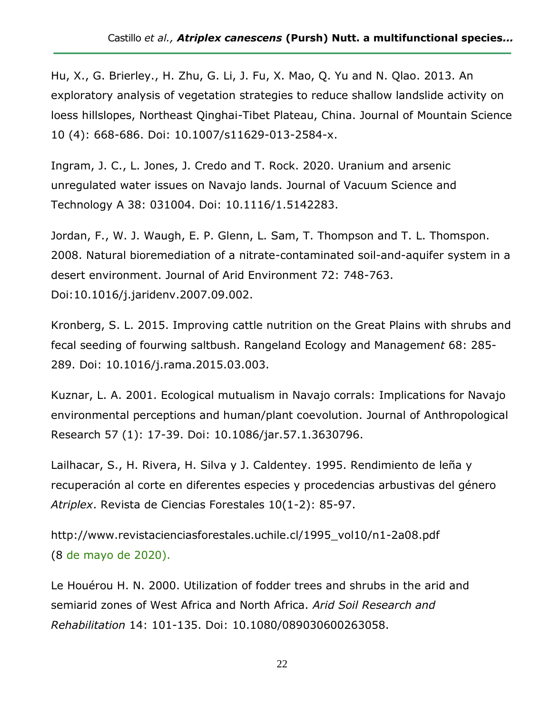Hu, X., G. Brierley., H. Zhu, G. Li, J. Fu, X. Mao, Q. Yu and N. Qlao. 2013. An exploratory analysis of vegetation strategies to reduce shallow landslide activity on loess hillslopes, Northeast Qinghai-Tibet Plateau, China. Journal of Mountain Science 10 (4): 668-686. Doi: 10.1007/s11629-013-2584-x.

Ingram, J. C., L. Jones, J. Credo and T. Rock. 2020. Uranium and arsenic unregulated water issues on Navajo lands. Journal of Vacuum Science and Technology A 38: 031004. Doi: 10.1116/1.5142283.

Jordan, F., W. J. Waugh, E. P. Glenn, L. Sam, T. Thompson and T. L. Thomspon. 2008. Natural bioremediation of a nitrate-contaminated soil-and-aquifer system in a desert environment. Journal of Arid Environment 72: 748-763. Doi:10.1016/j.jaridenv.2007.09.002.

Kronberg, S. L. 2015. Improving cattle nutrition on the Great Plains with shrubs and fecal seeding of fourwing saltbush. Rangeland Ecology and Managemen*t* 68: 285- 289. Doi: 10.1016/j.rama.2015.03.003.

Kuznar, L. A. 2001. Ecological mutualism in Navajo corrals: Implications for Navajo environmental perceptions and human/plant coevolution. Journal of Anthropological Research 57 (1): 17-39. Doi: [10.1086/jar.57.1.3630796.](https://doi.org/10.1086/jar.57.1.3630796)

Lailhacar, S., H. Rivera, H. Silva y J. Caldentey. 1995. Rendimiento de leña y recuperación al corte en diferentes especies y procedencias arbustivas del género *Atriplex*. Revista de Ciencias Forestales 10(1-2): 85-97.

http://www.revistacienciasforestales.uchile.cl/1995\_vol10/n1-2a08.pdf (8 de mayo de 2020).

Le Houérou H. N. 2000. Utilization of fodder trees and shrubs in the arid and semiarid zones of West Africa and North Africa. *Arid Soil Research and Rehabilitation* 14: 101-135. Doi: [10.1080/089030600263058.](https://doi.org/10.1080/089030600263058)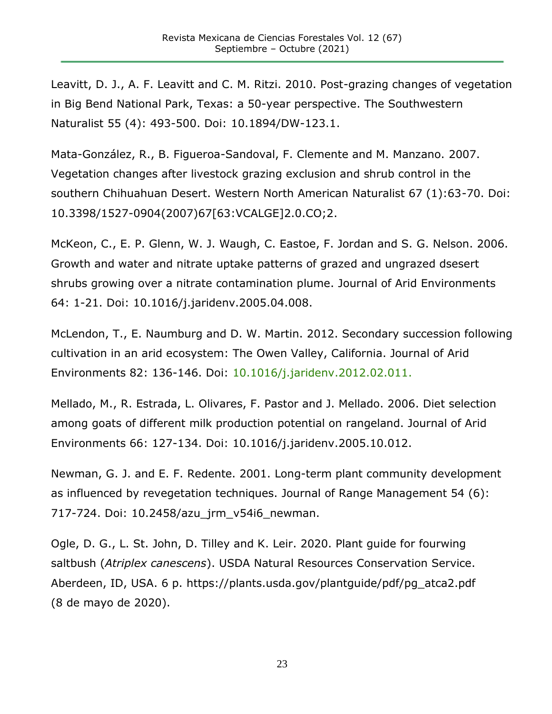Leavitt, D. J., A. F. Leavitt and C. M. Ritzi. 2010. Post-grazing changes of vegetation in Big Bend National Park, Texas: a 50-year perspective. The Southwestern Naturalist 55 (4): 493-500. Doi: [10.1894/DW-123.1.](https://doi.org/10.1894/DW-123.1)

Mata-González, R., B. Figueroa-Sandoval, F. Clemente and M. Manzano. 2007. Vegetation changes after livestock grazing exclusion and shrub control in the southern Chihuahuan Desert. Western North American Naturalist 67 (1):63-70. Doi: [10.3398/1527-0904\(2007\)67\[63:VCALGE\]2.0.CO;2.](https://doi.org/10.3398/1527-0904(2007)67%5b63:VCALGE%5d2.0.CO;2)

McKeon, C., E. P. Glenn, W. J. Waugh, C. Eastoe, F. Jordan and S. G. Nelson. 2006. Growth and water and nitrate uptake patterns of grazed and ungrazed dsesert shrubs growing over a nitrate contamination plume. Journal of Arid Environments 64: 1-21. Doi: 10.1016/j.jaridenv.2005.04.008.

McLendon, T., E. Naumburg and D. W. Martin. 2012. Secondary succession following cultivation in an arid ecosystem: The Owen Valley, California. Journal of Arid Environments 82: 136-146. Doi: [10.1016/j.jaridenv.2012.02.011.](https://doi.org/10.1016/j.jaridenv.2012.02.011)

Mellado, M., R. Estrada, L. Olivares, F. Pastor and J. Mellado. 2006. Diet selection among goats of different milk production potential on rangeland. Journal of Arid Environments 66: 127-134. Doi: 10.1016/j.jaridenv.2005.10.012.

Newman, G. J. and E. F. Redente. 2001. Long-term plant community development as influenced by revegetation techniques. Journal of Range Management 54 (6): 717-724. Doi: 10.2458/azu\_jrm\_v54i6\_newman.

Ogle, D. G., L. St. John, D. Tilley and K. Leir. 2020. Plant guide for fourwing saltbush (*Atriplex canescens*). USDA Natural Resources Conservation Service. Aberdeen, ID, USA. 6 p. https://plants.usda.gov/plantguide/pdf/pg\_atca2.pdf (8 de mayo de 2020).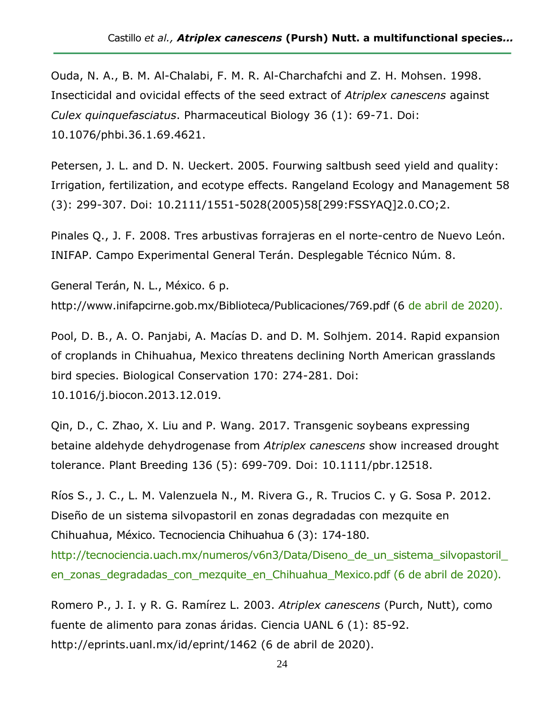Ouda, N. A., B. M. Al-Chalabi, F. M. R. Al-Charchafchi and Z. H. Mohsen. 1998. Insecticidal and ovicidal effects of the seed extract of *Atriplex canescens* against *Culex quinquefasciatus*. Pharmaceutical Biology 36 (1): 69-71. Doi: 10.1076/phbi.36.1.69.4621.

Petersen, J. L. and D. N. Ueckert. 2005. Fourwing saltbush seed yield and quality: Irrigation, fertilization, and ecotype effects. Rangeland Ecology and Management 58 (3): 299-307. Doi: [10.2111/1551-5028\(2005\)58\[299:FSSYAQ\]2.0.CO;2.](https://doi.org/10.2111/1551-5028(2005)58%5b299:FSSYAQ%5d2.0.CO;2)

Pinales Q., J. F. 2008. Tres arbustivas forrajeras en el norte-centro de Nuevo León. INIFAP. Campo Experimental General Terán. Desplegable Técnico Núm. 8.

General Terán, N. L., México. 6 p. http://www.inifapcirne.gob.mx/Biblioteca/Publicaciones/769.pdf (6 de abril de 2020).

Pool, D. B., A. O. Panjabi, A. Macías D. and D. M. Solhjem. 2014. Rapid expansion of croplands in Chihuahua, Mexico threatens declining North American grasslands bird species. Biological Conservation 170: 274-281. Doi: 10.1016/j.biocon.2013.12.019.

Qin, D., C. Zhao, X. Liu and P. Wang. 2017. Transgenic soybeans expressing betaine aldehyde dehydrogenase from *Atriplex canescens* show increased drought tolerance. Plant Breeding 136 (5): 699-709. Doi: [10.1111/pbr.12518.](https://doi.org/10.1111/pbr.12518)

Ríos S., J. C., L. M. Valenzuela N., M. Rivera G., R. Trucios C. y G. Sosa P. 2012. Diseño de un sistema silvopastoril en zonas degradadas con mezquite en Chihuahua, México. Tecnociencia Chihuahua 6 (3): 174-180.

http://tecnociencia.uach.mx/numeros/v6n3/Data/Diseno de un sistema silvopastoril [en\\_zonas\\_degradadas\\_con\\_mezquite\\_en\\_Chihuahua\\_Mexico.pdf](http://tecnociencia.uach.mx/numeros/v6n3/Data/Diseno_de_un_sistema_silvopastoril_en_zonas_degradadas_con_mezquite_en_Chihuahua_Mexico.pdf) (6 de abril de 2020).

Romero P., J. I. y R. G. Ramírez L. 2003. *Atriplex canescens* (Purch, Nutt), como fuente de alimento para zonas áridas. Ciencia UANL 6 (1): 85-92. <http://eprints.uanl.mx/id/eprint/1462> (6 de abril de 2020).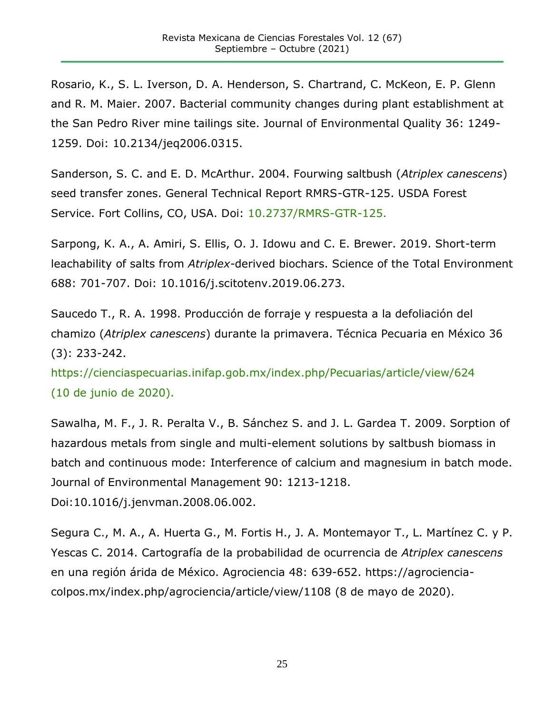Rosario, K., S. L. Iverson, D. A. Henderson, S. Chartrand, C. McKeon, E. P. Glenn and R. M. Maier. 2007. Bacterial community changes during plant establishment at the San Pedro River mine tailings site. Journal of Environmental Quality 36: 1249- 1259. Doi: 10.2134/jeq2006.0315.

Sanderson, S. C. and E. D. McArthur. 2004. Fourwing saltbush (*Atriplex canescens*) seed transfer zones. General Technical Report RMRS-GTR-125. USDA Forest Service. Fort Collins, CO, USA. Doi: [10.2737/RMRS-GTR-125.](https://doi.org/10.2737/RMRS-GTR-125)

Sarpong, K. A., A. Amiri, S. Ellis, O. J. Idowu and C. E. Brewer. 2019. Short-term leachability of salts from *Atriplex*-derived biochars. Science of the Total Environment 688: 701-707. Doi: 10.1016/j.scitotenv.2019.06.273.

Saucedo T., R. A. 1998. Producción de forraje y respuesta a la defoliación del chamizo (*Atriplex canescens*) durante la primavera. Técnica Pecuaria en México 36 (3): 233-242.

<https://cienciaspecuarias.inifap.gob.mx/index.php/Pecuarias/article/view/624> (10 de junio de 2020).

Sawalha, M. F., J. R. Peralta V., B. Sánchez S. and J. L. Gardea T. 2009. Sorption of hazardous metals from single and multi-element solutions by saltbush biomass in batch and continuous mode: Interference of calcium and magnesium in batch mode. Journal of Environmental Management 90: 1213-1218. Doi[:10.1016/j.jenvman.2008.06.002.](https://doi.org/10.1016/j.jenvman.2008.06.002)

Segura C., M. A., A. Huerta G., M. Fortis H., J. A. Montemayor T., L. Martínez C. y P. Yescas C. 2014. Cartografía de la probabilidad de ocurrencia de *Atriplex canescens* en una región árida de México. Agrociencia 48: 639-652. [https://agrociencia](https://agrociencia-colpos.mx/index.php/agrociencia/article/view/1108)[colpos.mx/index.php/agrociencia/article/view/1108](https://agrociencia-colpos.mx/index.php/agrociencia/article/view/1108) (8 de mayo de 2020).